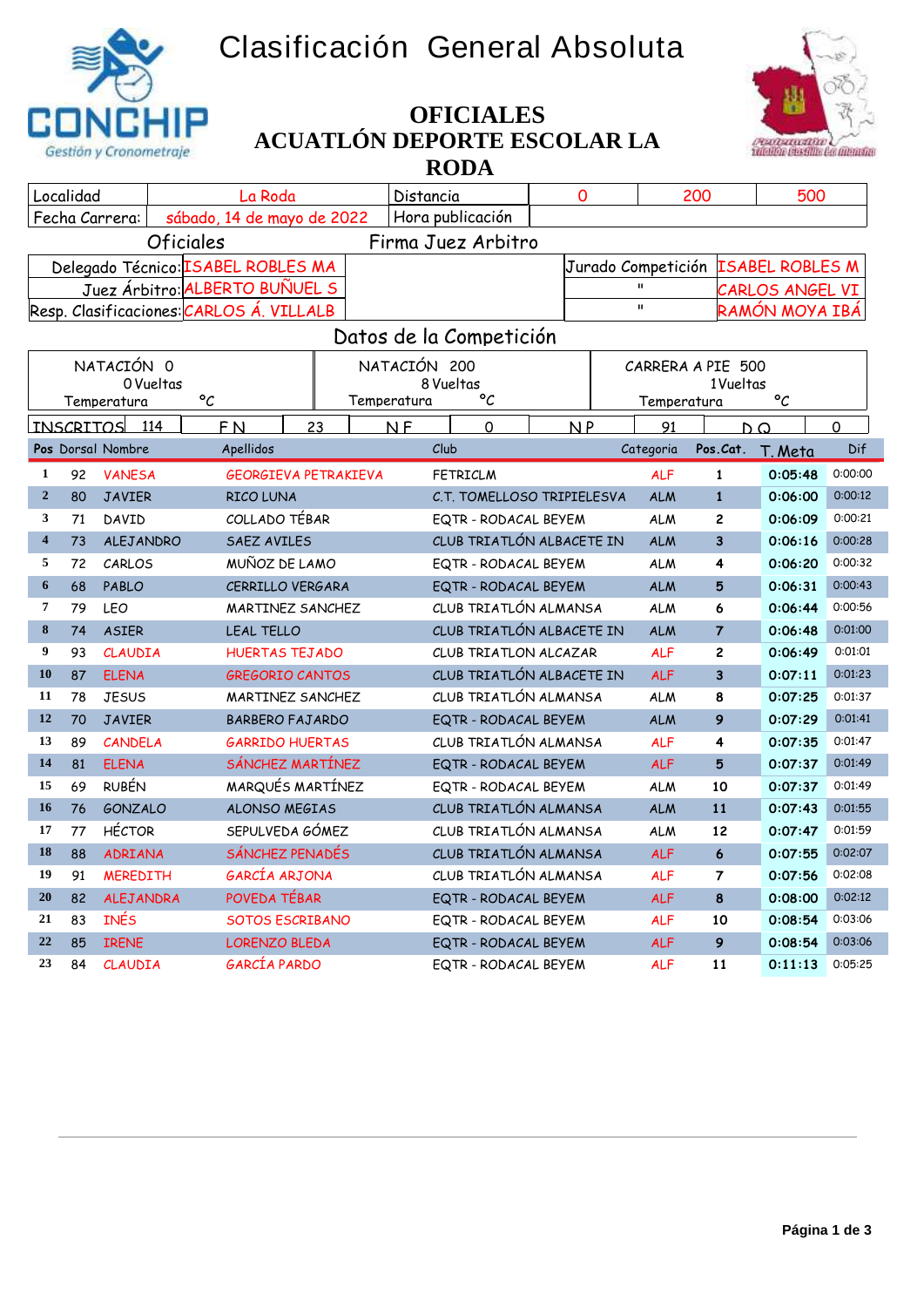## **Clasificación General Absoluta**





## **ACUATLÓN DEPORTE ESCOLAR LA RODA OFICIALES**

| Localidad<br>La Roda                                             |    |                      |                                          | Distancia |                                   |                            | 0<br>200 |                    |              | 500                     |                 |                        |  |  |
|------------------------------------------------------------------|----|----------------------|------------------------------------------|-----------|-----------------------------------|----------------------------|----------|--------------------|--------------|-------------------------|-----------------|------------------------|--|--|
| Hora publicación<br>sábado, 14 de mayo de 2022<br>Fecha Carrera: |    |                      |                                          |           |                                   |                            |          |                    |              |                         |                 |                        |  |  |
|                                                                  |    | <b>Oficiales</b>     |                                          |           |                                   | Firma Juez Arbitro         |          |                    |              |                         |                 |                        |  |  |
|                                                                  |    |                      | Delegado Técnico: ISABEL ROBLES MA       |           |                                   |                            |          | Jurado Competición |              |                         |                 | <b>ISABEL ROBLES M</b> |  |  |
|                                                                  |    |                      | Juez Árbitro: ALBERTO BUÑUEL S           |           |                                   |                            |          |                    | $\mathbf{u}$ |                         | CARLOS ANGEL VI |                        |  |  |
|                                                                  |    |                      | Resp. Clasificaciones: CARLOS A. VILLALB |           |                                   |                            |          |                    | $\mathbf{H}$ |                         | RAMÓN MOYA IBÁ  |                        |  |  |
|                                                                  |    |                      |                                          |           |                                   | Datos de la Competición    |          |                    |              |                         |                 |                        |  |  |
|                                                                  |    | NATACIÓN 0           |                                          |           | NATACIÓN 200<br>CARRERA A PIE 500 |                            |          |                    |              |                         |                 |                        |  |  |
|                                                                  |    | 0 Vueltas            |                                          | 8 Vueltas |                                   |                            |          | 1 Vueltas          |              |                         |                 |                        |  |  |
|                                                                  |    | Temperatura          | $\circ_{\mathcal{C}}$                    |           | Temperatura                       | °C                         |          |                    | Temperatura  |                         | $\mathcal{C}$   |                        |  |  |
|                                                                  |    | <b>INSCRITOS</b> 114 | <b>FN</b>                                | 23        | N <sub>F</sub>                    | $\overline{0}$             |          | NP                 | 91           |                         | $D^{\Omega}$    | $\Omega$               |  |  |
|                                                                  |    | Pos Dorsal Nombre    | Apellidos                                |           | Club                              |                            |          |                    | Categoria    | Pos.Cat.                | T. Meta         | Dif                    |  |  |
| $\mathbf{1}$                                                     | 92 | <b>VANESA</b>        | <b>GEORGIEVA PETRAKIEVA</b>              |           |                                   | <b>FETRICLM</b>            |          |                    | <b>ALF</b>   | $\mathbf{1}$            | 0:05:48         | 0:00:00                |  |  |
| $\overline{2}$                                                   | 80 | <b>JAVIER</b>        | RICO LUNA                                |           |                                   | C.T. TOMELLOSO TRIPIELESVA |          |                    | <b>ALM</b>   | $\mathbf{1}$            | 0:06:00         | 0:00:12                |  |  |
| 3                                                                | 71 | DAVID                | COLLADO TÉBAR                            |           |                                   | EQTR - RODACAL BEYEM       |          |                    | <b>ALM</b>   | 2                       | 0:06:09         | 0:00:21                |  |  |
| $\overline{\mathbf{4}}$                                          | 73 | ALEJANDRO            | SAEZ AVILES                              |           |                                   | CLUB TRIATLÓN ALBACETE IN  |          |                    | <b>ALM</b>   | 3                       | 0:06:16         | 0:00:28                |  |  |
| 5                                                                | 72 | CARLOS               | MUÑOZ DE LAMO                            |           | EQTR - RODACAL BEYEM              |                            |          | <b>ALM</b>         | 4            | 0:06:20                 | 0:00:32         |                        |  |  |
| 6                                                                | 68 | PABLO                | CERRILLO VERGARA                         |           | EQTR - RODACAL BEYEM              |                            |          | <b>ALM</b>         | 5            | 0:06:31                 | 0:00:43         |                        |  |  |
| 7                                                                | 79 | <b>LEO</b>           | MARTINEZ SANCHEZ                         |           | CLUB TRIATLÓN ALMANSA             |                            |          | <b>ALM</b>         | 6            | 0:06:44                 | 0:00:56         |                        |  |  |
| 8                                                                | 74 | <b>ASIER</b>         | LEAL TELLO                               |           |                                   | CLUB TRIATLÓN ALBACETE IN  |          |                    | <b>ALM</b>   | $\overline{7}$          | 0:06:48         | 0:01:00                |  |  |
| 9                                                                | 93 | <b>CLAUDIA</b>       | <b>HUERTAS TEJADO</b>                    |           |                                   | CLUB TRIATLON ALCAZAR      |          |                    | <b>ALF</b>   | $\overline{c}$          | 0:06:49         | 0:01:01                |  |  |
| 10                                                               | 87 | <b>ELENA</b>         | <b>GREGORIO CANTOS</b>                   |           |                                   | CLUB TRIATLÓN ALBACETE IN  |          |                    | <b>ALF</b>   | $\overline{\mathbf{3}}$ | 0:07:11         | 0:01:23                |  |  |
| 11                                                               | 78 | <b>JESUS</b>         | MARTINEZ SANCHEZ                         |           |                                   | CLUB TRIATLÓN ALMANSA      |          |                    | <b>ALM</b>   | 8                       | 0:07:25         | 0:01:37                |  |  |
| 12                                                               | 70 | <b>JAVIER</b>        | <b>BARBERO FAJARDO</b>                   |           |                                   | EQTR - RODACAL BEYEM       |          |                    | <b>ALM</b>   | 9                       | 0:07:29         | 0:01:41                |  |  |
| 13                                                               | 89 | CANDELA              | <b>GARRIDO HUERTAS</b>                   |           |                                   | CLUB TRIATLÓN ALMANSA      |          |                    | <b>ALF</b>   | 4                       | 0:07:35         | 0:01:47                |  |  |
| 14                                                               | 81 | <b>ELENA</b>         | SÁNCHEZ MARTÍNEZ                         |           |                                   | EQTR - RODACAL BEYEM       |          |                    | <b>ALF</b>   | 5                       | 0:07:37         | 0:01:49                |  |  |
| 15                                                               | 69 | <b>RUBÉN</b>         | MARQUÉS MARTÍNEZ                         |           |                                   | EQTR - RODACAL BEYEM       |          |                    | <b>ALM</b>   | 10                      | 0:07:37         | 0:01:49                |  |  |
| 16                                                               | 76 | <b>GONZALO</b>       | <b>ALONSO MEGIAS</b>                     |           |                                   | CLUB TRIATLÓN ALMANSA      |          |                    | <b>ALM</b>   | 11                      | 0:07:43         | 0:01:55                |  |  |
| 17                                                               | 77 | <b>HÉCTOR</b>        | SEPULVEDA GÓMEZ                          |           |                                   | CLUB TRIATLÓN ALMANSA      |          |                    | <b>ALM</b>   | 12                      | 0:07:47         | 0:01:59                |  |  |
| 18                                                               | 88 | <b>ADRIANA</b>       | SÁNCHEZ PENADÉS                          |           |                                   | CLUB TRIATLÓN ALMANSA      |          |                    | <b>ALF</b>   | $6\phantom{1}$          | 0:07:55         | 0:02:07                |  |  |
| 19                                                               | 91 | <b>MEREDITH</b>      | GARCÍA ARJONA                            |           |                                   | CLUB TRIATLÓN ALMANSA      |          |                    | <b>ALF</b>   | 7                       | 0:07:56         | 0:02:08                |  |  |
| 20                                                               | 82 | <b>ALEJANDRA</b>     | POVEDA TÉBAR                             |           |                                   | EQTR - RODACAL BEYEM       |          |                    | <b>ALF</b>   | 8                       | 0:08:00         | 0:02:12                |  |  |
| 21                                                               | 83 | <b>INÉS</b>          | <b>SOTOS ESCRIBANO</b>                   |           |                                   | EQTR - RODACAL BEYEM       |          |                    | <b>ALF</b>   | 10                      | 0:08:54         | 0:03:06                |  |  |
| 22                                                               | 85 | <b>IRENE</b>         | <b>LORENZO BLEDA</b>                     |           |                                   | EQTR - RODACAL BEYEM       |          |                    | <b>ALF</b>   | 9                       | 0:08:54         | 0:03:06                |  |  |
| 23                                                               | 84 | <b>CLAUDIA</b>       | GARCÍA PARDO                             |           |                                   | EQTR - RODACAL BEYEM       |          |                    | <b>ALF</b>   | 11                      | 0:11:13         | 0:05:25                |  |  |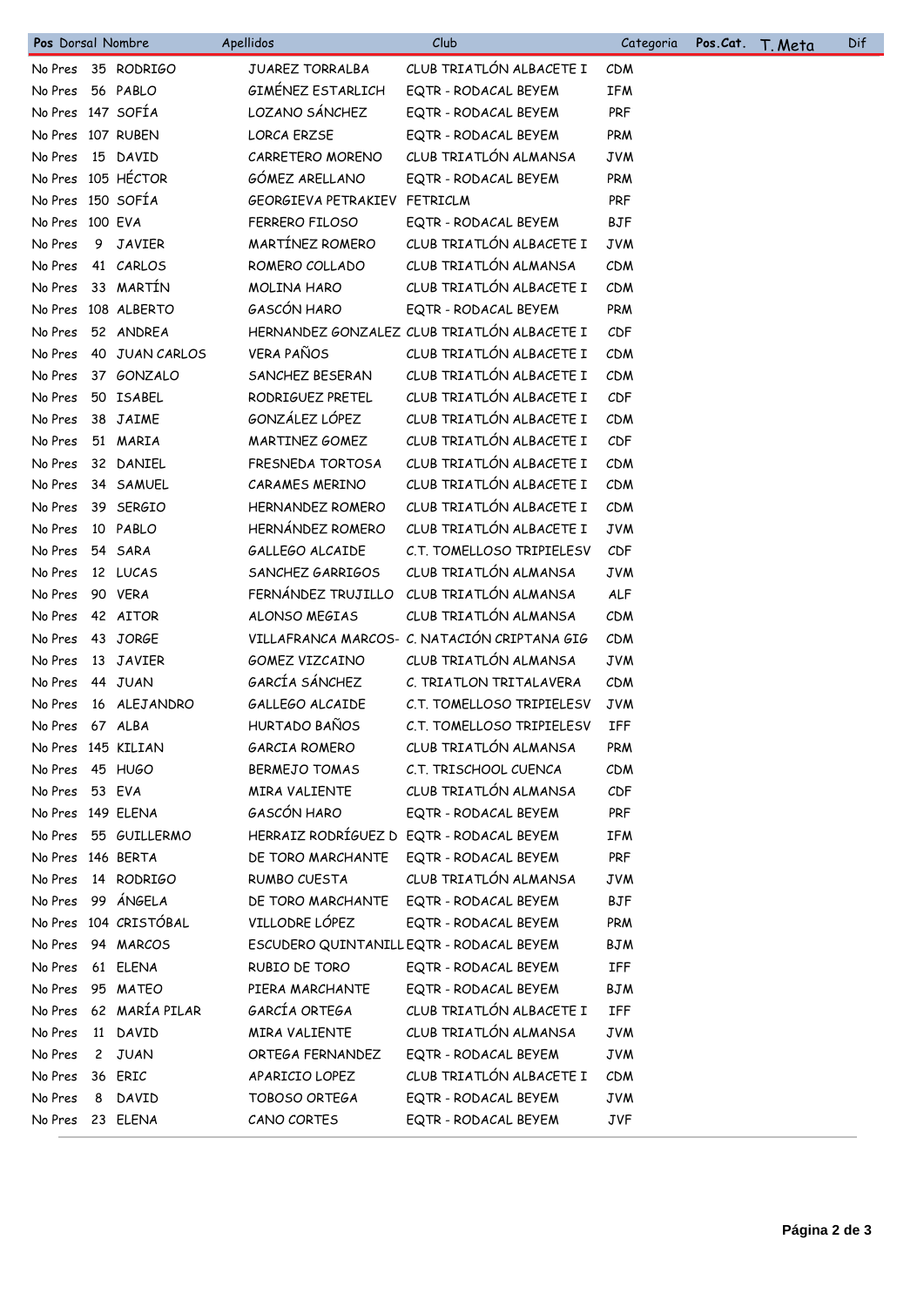| Pos Dorsal Nombre  |                       | Apellidos               | Club                                         | Categoria  | Pos.Cat. | <u>T. Meta</u> | Dif |
|--------------------|-----------------------|-------------------------|----------------------------------------------|------------|----------|----------------|-----|
|                    | No Pres 35 RODRIGO    | <b>JUAREZ TORRALBA</b>  | CLUB TRIATLÓN ALBACETE I                     | <b>CDM</b> |          |                |     |
| No Pres            | 56 PABLO              | GIMÉNEZ ESTARLICH       | EQTR - RODACAL BEYEM                         | IFM        |          |                |     |
| No Pres 147 SOFÍA  |                       | LOZANO SÁNCHEZ          | EQTR - RODACAL BEYEM                         | PRF        |          |                |     |
| No Pres 107 RUBEN  |                       | <b>LORCA ERZSE</b>      | EQTR - RODACAL BEYEM                         | PRM        |          |                |     |
| No Pres            | 15 DAVID              | CARRETERO MORENO        | CLUB TRIATLÓN ALMANSA                        | <b>JVM</b> |          |                |     |
|                    | No Pres 105 HÉCTOR    | GÓMEZ ARELLANO          | EQTR - RODACAL BEYEM                         | PRM        |          |                |     |
| No Pres 150 SOFÍA  |                       | GEORGIEVA PETRAKIEV     | FETRICLM                                     | <b>PRF</b> |          |                |     |
| No Pres 100 EVA    |                       | FERRERO FILOSO          | EQTR - RODACAL BEYEM                         | <b>BJF</b> |          |                |     |
| No Pres            | 9 JAVIER              | MARTÍNEZ ROMERO         | CLUB TRIATLÓN ALBACETE I                     | <b>JVM</b> |          |                |     |
| No Pres            | 41 CARLOS             | ROMERO COLLADO          | CLUB TRIATLÓN ALMANSA                        | CDM        |          |                |     |
| No Pres            | 33 MARTÍN             | MOLINA HARO             | CLUB TRIATLÓN ALBACETE I                     | CDM        |          |                |     |
|                    | No Pres 108 ALBERTO   | GASCÓN HARO             | EQTR - RODACAL BEYEM                         | PRM        |          |                |     |
| No Pres            | 52 ANDREA             |                         | HERNANDEZ GONZALEZ CLUB TRIATLÓN ALBACETE I  | CDF        |          |                |     |
| No Pres            | 40 JUAN CARLOS        | <b>VERA PAÑOS</b>       | CLUB TRIATLÓN ALBACETE I                     | CDM        |          |                |     |
| No Pres            | 37 GONZALO            | SANCHEZ BESERAN         | CLUB TRIATLÓN ALBACETE I                     | CDM        |          |                |     |
| No Pres            | 50 ISABEL             | RODRIGUEZ PRETEL        | CLUB TRIATLÓN ALBACETE I                     | CDF        |          |                |     |
| No Pres            | 38 JAIME              | GONZÁLEZ LÓPEZ          | CLUB TRIATLÓN ALBACETE I                     | CDM        |          |                |     |
| No Pres            | 51 MARIA              | MARTINEZ GOMEZ          | CLUB TRIATLÓN ALBACETE I                     | CDF        |          |                |     |
| No Pres            | 32 DANIEL             | FRESNEDA TORTOSA        | CLUB TRIATLÓN ALBACETE I                     | CDM        |          |                |     |
| No Pres            | 34 SAMUEL             | <b>CARAMES MERINO</b>   | CLUB TRIATLÓN ALBACETE I                     | <b>CDM</b> |          |                |     |
| No Pres            | 39 SERGIO             | <b>HERNANDEZ ROMERO</b> | CLUB TRIATLÓN ALBACETE I                     | <b>CDM</b> |          |                |     |
| No Pres            | 10 PABLO              | HERNÁNDEZ ROMERO        | CLUB TRIATLÓN ALBACETE I                     | <b>JVM</b> |          |                |     |
| No Pres            | 54 SARA               | GALLEGO ALCAIDE         | C.T. TOMELLOSO TRIPIELESV                    | CDF        |          |                |     |
| No Pres            | 12 LUCAS              | SANCHEZ GARRIGOS        | CLUB TRIATLÓN ALMANSA                        | <b>JVM</b> |          |                |     |
| No Pres            | 90 VERA               | FERNÁNDEZ TRUJILLO      | CLUB TRIATLÓN ALMANSA                        | <b>ALF</b> |          |                |     |
| No Pres            | 42 AITOR              | <b>ALONSO MEGIAS</b>    | CLUB TRIATLÓN ALMANSA                        | CDM        |          |                |     |
| No Pres            | 43 JORGE              |                         | VILLAFRANCA MARCOS- C. NATACIÓN CRIPTANA GIG | CDM        |          |                |     |
| No Pres            | 13 JAVIER             | GOMEZ VIZCAINO          | CLUB TRIATLÓN ALMANSA                        | <b>JVM</b> |          |                |     |
| No Pres            | 44 JUAN               | GARCÍA SÁNCHEZ          | C. TRIATLON TRITALAVERA                      | CDM        |          |                |     |
| No Pres            | 16 ALEJANDRO          | GALLEGO ALCAIDE         | C.T. TOMELLOSO TRIPIELESV                    | <b>JVM</b> |          |                |     |
| No Pres 67 ALBA    |                       | HURTADO BAÑOS           | C.T. TOMELLOSO TRIPIELESV                    | IFF        |          |                |     |
| No Pres 145 KILIAN |                       | <b>GARCIA ROMERO</b>    | CLUB TRIATLÓN ALMANSA                        | <b>PRM</b> |          |                |     |
| No Pres 45 HUGO    |                       | <b>BERMEJO TOMAS</b>    | C.T. TRISCHOOL CUENCA                        | <b>CDM</b> |          |                |     |
| No Pres            | 53 EVA                | <b>MIRA VALIENTE</b>    | CLUB TRIATLÓN ALMANSA                        | CDF        |          |                |     |
| No Pres 149 ELENA  |                       | GASCÓN HARO             | EQTR - RODACAL BEYEM                         | PRF        |          |                |     |
| No Pres            | 55 GUILLERMO          |                         | HERRAIZ RODRÍGUEZ D EQTR - RODACAL BEYEM     | <b>IFM</b> |          |                |     |
| No Pres 146 BERTA  |                       | DE TORO MARCHANTE       | EQTR - RODACAL BEYEM                         | PRF        |          |                |     |
| No Pres            | 14 RODRIGO            | <b>RUMBO CUESTA</b>     | CLUB TRIATLÓN ALMANSA                        | JVM        |          |                |     |
| No Pres            | 99 ÁNGELA             | DE TORO MARCHANTE       | EQTR - RODACAL BEYEM                         | <b>BJF</b> |          |                |     |
|                    | No Pres 104 CRISTÓBAL | VILLODRE LÓPEZ          | EQTR - RODACAL BEYEM                         | PRM        |          |                |     |
| No Pres            | 94 MARCOS             |                         | ESCUDERO QUINTANILLEQTR - RODACAL BEYEM      | BJM        |          |                |     |
| No Pres            | 61 ELENA              | RUBIO DE TORO           | EQTR - RODACAL BEYEM                         | IFF        |          |                |     |
| No Pres            | 95 MATEO              | PIERA MARCHANTE         | EQTR - RODACAL BEYEM                         | BJM        |          |                |     |
| No Pres            | 62 MARÍA PILAR        | GARCÍA ORTEGA           | CLUB TRIATLÓN ALBACETE I                     | IFF        |          |                |     |
| No Pres            | 11 DAVID              | MIRA VALIENTE           | CLUB TRIATLÓN ALMANSA                        | JVM        |          |                |     |
| No Pres            | 2 JUAN                | ORTEGA FERNANDEZ        | EQTR - RODACAL BEYEM                         | JVM        |          |                |     |
| No Pres            | 36 ERIC               | APARICIO LOPEZ          | CLUB TRIATLÓN ALBACETE I                     | <b>CDM</b> |          |                |     |
| No Pres            | 8 DAVID               | TOBOSO ORTEGA           | EQTR - RODACAL BEYEM                         | JVM        |          |                |     |
| No Pres            | 23 ELENA              | CANO CORTES             | EQTR - RODACAL BEYEM                         | <b>JVF</b> |          |                |     |